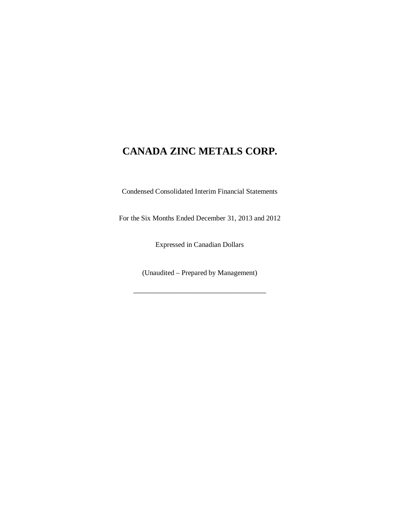Condensed Consolidated Interim Financial Statements

For the Six Months Ended December 31, 2013 and 2012

Expressed in Canadian Dollars

(Unaudited – Prepared by Management)

\_\_\_\_\_\_\_\_\_\_\_\_\_\_\_\_\_\_\_\_\_\_\_\_\_\_\_\_\_\_\_\_\_\_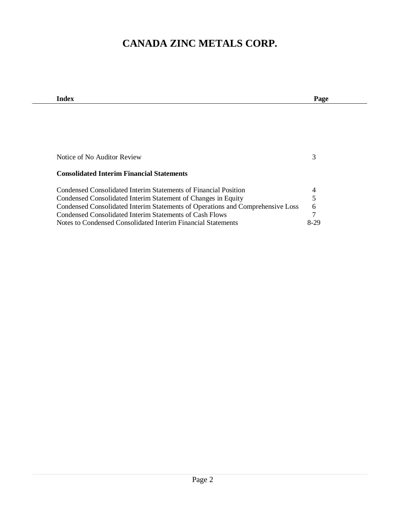| Index                                                                          | Page |
|--------------------------------------------------------------------------------|------|
|                                                                                |      |
|                                                                                |      |
|                                                                                |      |
|                                                                                |      |
|                                                                                |      |
|                                                                                |      |
| Notice of No Auditor Review                                                    | 3    |
|                                                                                |      |
| <b>Consolidated Interim Financial Statements</b>                               |      |
| Condensed Consolidated Interim Statements of Financial Position                | 4    |
| Condensed Consolidated Interim Statement of Changes in Equity                  | 5    |
| Condensed Consolidated Interim Statements of Operations and Comprehensive Loss | 6    |
| Condensed Consolidated Interim Statements of Cash Flows                        | 7    |
| Notes to Condensed Consolidated Interim Financial Statements                   | 8-29 |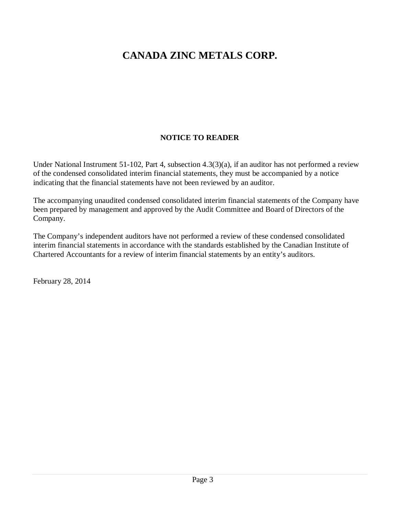### **NOTICE TO READER**

Under National Instrument 51-102, Part 4, subsection 4.3(3)(a), if an auditor has not performed a review of the condensed consolidated interim financial statements, they must be accompanied by a notice indicating that the financial statements have not been reviewed by an auditor.

The accompanying unaudited condensed consolidated interim financial statements of the Company have been prepared by management and approved by the Audit Committee and Board of Directors of the Company.

The Company's independent auditors have not performed a review of these condensed consolidated interim financial statements in accordance with the standards established by the Canadian Institute of Chartered Accountants for a review of interim financial statements by an entity's auditors.

February 28, 2014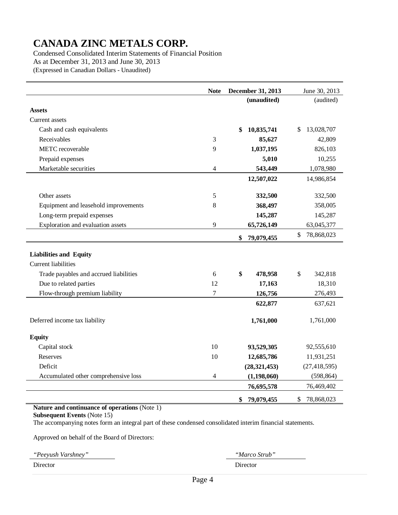Condensed Consolidated Interim Statements of Financial Position As at December 31, 2013 and June 30, 2013 (Expressed in Canadian Dollars - Unaudited)

|                                        | <b>Note</b>      | December 31, 2013 | June 30, 2013    |
|----------------------------------------|------------------|-------------------|------------------|
|                                        |                  | (unaudited)       | (audited)        |
| <b>Assets</b>                          |                  |                   |                  |
| Current assets                         |                  |                   |                  |
| Cash and cash equivalents              |                  | \$<br>10,835,741  | 13,028,707<br>\$ |
| Receivables                            | 3                | 85,627            | 42,809           |
| METC recoverable                       | 9                | 1,037,195         | 826,103          |
| Prepaid expenses                       |                  | 5,010             | 10,255           |
| Marketable securities                  | $\overline{4}$   | 543,449           | 1,078,980        |
|                                        |                  | 12,507,022        | 14,986,854       |
|                                        |                  |                   |                  |
| Other assets                           | 5                | 332,500           | 332,500          |
| Equipment and leasehold improvements   | 8                | 368,497           | 358,005          |
| Long-term prepaid expenses             |                  | 145,287           | 145,287          |
| Exploration and evaluation assets      | 9                | 65,726,149        | 63,045,377       |
|                                        |                  | \$<br>79,079,455  | \$<br>78,868,023 |
|                                        |                  |                   |                  |
| <b>Liabilities and Equity</b>          |                  |                   |                  |
| <b>Current liabilities</b>             |                  |                   |                  |
| Trade payables and accrued liabilities | 6                | \$<br>478,958     | \$<br>342,818    |
| Due to related parties                 | 12               | 17,163            | 18,310           |
| Flow-through premium liability         | $\boldsymbol{7}$ | 126,756           | 276,493          |
|                                        |                  | 622,877           | 637,621          |
| Deferred income tax liability          |                  | 1,761,000         | 1,761,000        |
| <b>Equity</b>                          |                  |                   |                  |
| Capital stock                          | 10               | 93,529,305        | 92,555,610       |
| Reserves                               | 10               | 12,685,786        | 11,931,251       |
| Deficit                                |                  | (28, 321, 453)    | (27, 418, 595)   |
| Accumulated other comprehensive loss   | $\overline{4}$   | (1, 198, 060)     | (598, 864)       |
|                                        |                  | 76,695,578        | 76,469,402       |
|                                        |                  | \$<br>79,079,455  | \$<br>78,868,023 |

#### **Nature and continuance of operations** (Note 1)

**Subsequent Events** (Note 15)

L,

The accompanying notes form an integral part of these condensed consolidated interim financial statements.

Approved on behalf of the Board of Directors:

| "Peeyush Varshney" | <i>"Marco Strub"</i> |
|--------------------|----------------------|
| Director           | Director             |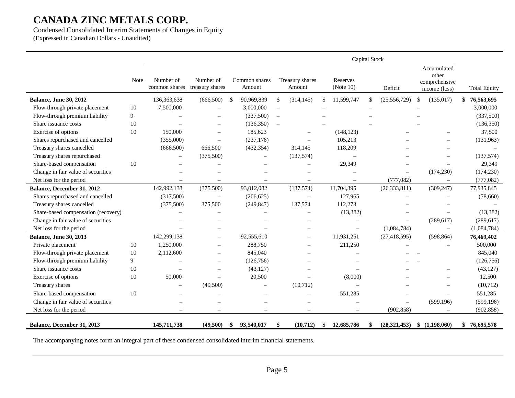Condensed Consolidated Interim Statements of Changes in Equity (Expressed in Canadian Dollars - Unaudited)

|                                     |             |                            |                              |     |                          |          |                           |               | Capital Stock            |     |                |    |                                                        |                     |
|-------------------------------------|-------------|----------------------------|------------------------------|-----|--------------------------|----------|---------------------------|---------------|--------------------------|-----|----------------|----|--------------------------------------------------------|---------------------|
|                                     | <b>Note</b> | Number of<br>common shares | Number of<br>treasury shares |     | Common shares<br>Amount  |          | Treasury shares<br>Amount |               | Reserves<br>(Note $10$ ) |     | Deficit        |    | Accumulated<br>other<br>comprehensive<br>income (loss) | <b>Total Equity</b> |
| <b>Balance, June 30, 2012</b>       |             | 136, 363, 638              | (666, 500)                   | \$  | 90,969,839               | \$       | (314, 145)                | <sup>\$</sup> | 11,599,747               | \$. | (25, 556, 729) | S. | (135, 017)                                             | \$<br>76,563,695    |
| Flow-through private placement      | 10          | 7,500,000                  | $\sim$                       |     | 3,000,000                | $\equiv$ |                           |               |                          |     |                |    |                                                        | 3,000,000           |
| Flow-through premium liability      | 9           |                            |                              |     | (337,500)                | $\equiv$ |                           |               |                          |     |                |    |                                                        | (337,500)           |
| Share issuance costs                | 10          |                            |                              |     | (136, 350)               | $\equiv$ |                           |               |                          |     |                |    |                                                        | (136, 350)          |
| Exercise of options                 | 10          | 150,000                    | $\equiv$                     |     | 185,623                  |          |                           |               | (148, 123)               |     |                |    |                                                        | 37,500              |
| Shares repurchased and cancelled    |             | (355,000)                  | $\overline{\phantom{0}}$     |     | (237, 176)               |          |                           |               | 105,213                  |     |                |    |                                                        | (131,963)           |
| Treasury shares cancelled           |             | (666, 500)                 | 666,500                      |     | (432, 354)               |          | 314,145                   |               | 118,209                  |     |                |    |                                                        |                     |
| Treasury shares repurchased         |             | $\qquad \qquad -$          | (375,500)                    |     | $\equiv$                 |          | (137,574)                 |               | $\sim$                   |     |                |    |                                                        | (137,574)           |
| Share-based compensation            | 10          |                            |                              |     |                          |          |                           |               | 29,349                   |     |                |    |                                                        | 29,349              |
| Change in fair value of securities  |             |                            |                              |     |                          |          |                           |               |                          |     | $\sim$         |    | (174, 230)                                             | (174, 230)          |
| Net loss for the period             |             |                            | $\overline{\phantom{0}}$     |     | $\sim$                   |          | $\overline{\phantom{m}}$  |               | $\overline{\phantom{0}}$ |     | (777,082)      |    | $\qquad \qquad -$                                      | (777,082)           |
| Balance, December 31, 2012          |             | 142,992,138                | (375,500)                    |     | 93,012,082               |          | (137, 574)                |               | 11,704,395               |     | (26, 333, 811) |    | (309, 247)                                             | 77,935,845          |
| Shares repurchased and cancelled    |             | (317,500)                  | $\overline{\phantom{m}}$     |     | (206, 625)               |          | $\overline{\phantom{m}}$  |               | 127,965                  |     |                |    |                                                        | (78,660)            |
| Treasury shares cancelled           |             | (375,500)                  | 375,500                      |     | (249, 847)               |          | 137,574                   |               | 112,273                  |     |                |    |                                                        |                     |
| Share-based compensation (recovery) |             |                            |                              |     |                          |          |                           |               | (13, 382)                |     |                |    |                                                        | (13, 382)           |
| Change in fair value of securities  |             |                            |                              |     |                          |          |                           |               |                          |     |                |    | (289, 617)                                             | (289, 617)          |
| Net loss for the period             |             |                            | $\overline{\phantom{m}}$     |     | $\equiv$                 |          | $\qquad \qquad -$         |               |                          |     | (1,084,784)    |    | $\overline{\phantom{m}}$                               | (1,084,784)         |
| <b>Balance, June 30, 2013</b>       |             | 142,299,138                | $\equiv$                     |     | 92,555,610               |          | $\equiv$                  |               | 11,931,251               |     | (27, 418, 595) |    | (598, 864)                                             | 76,469,402          |
| Private placement                   | 10          | 1,250,000                  |                              |     | 288,750                  |          |                           |               | 211,250                  |     |                |    |                                                        | 500,000             |
| Flow-through private placement      | 10          | 2,112,600                  |                              |     | 845,040                  |          |                           |               |                          |     |                |    |                                                        | 845,040             |
| Flow-through premium liability      | 9           |                            | $\overline{\phantom{0}}$     |     | (126,756)                |          |                           |               |                          |     |                |    |                                                        | (126, 756)          |
| Share issuance costs                | 10          |                            | $\overline{\phantom{0}}$     |     | (43, 127)                |          |                           |               |                          |     |                |    |                                                        | (43, 127)           |
| Exercise of options                 | 10          | 50,000                     | $=$                          |     | 20,500                   |          | $\equiv$                  |               | (8,000)                  |     |                |    |                                                        | 12,500              |
| Treasury shares                     |             |                            | (49,500)                     |     | $\sim$                   |          | (10, 712)                 |               |                          |     |                |    |                                                        | (10, 712)           |
| Share-based compensation            | 10          |                            |                              |     |                          |          | $\equiv$                  |               | 551,285                  |     |                |    |                                                        | 551,285             |
| Change in fair value of securities  |             |                            |                              |     | $\overline{\phantom{0}}$ |          |                           |               |                          |     |                |    | (599, 196)                                             | (599, 196)          |
| Net loss for the period             |             | $\overline{\phantom{0}}$   | $\equiv$                     |     | $\overline{\phantom{0}}$ |          | $\qquad \qquad -$         |               |                          |     | (902, 858)     |    |                                                        | (902, 858)          |
| Balance, December 31, 2013          |             | 145,711,738                | (49,500)                     | SS. | 93,540,017               | \$       | (10, 712)                 | \$            | 12,685,786               |     | (28, 321, 453) |    | \$(1,198,060)                                          | \$76,695,578        |

The accompanying notes form an integral part of these condensed consolidated interim financial statements.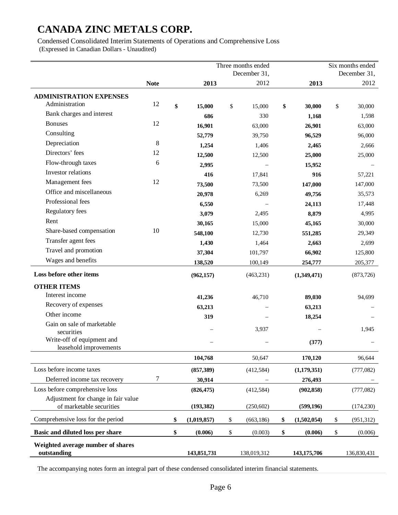Condensed Consolidated Interim Statements of Operations and Comprehensive Loss (Expressed in Canadian Dollars - Unaudited)

|                                                                 |             |                   | Three months ended |                   |              | Six months ended |
|-----------------------------------------------------------------|-------------|-------------------|--------------------|-------------------|--------------|------------------|
|                                                                 |             |                   | December 31,       |                   |              | December 31,     |
|                                                                 | <b>Note</b> | 2013              | 2012               | 2013              |              | 2012             |
| <b>ADMINISTRATION EXPENSES</b>                                  |             |                   |                    |                   |              |                  |
| Administration                                                  | 12          | \$<br>15,000      | \$<br>15,000       | \$<br>30,000      | \$           | 30,000           |
| Bank charges and interest                                       |             | 686               | 330                | 1,168             |              | 1,598            |
| <b>Bonuses</b>                                                  | 12          | 16,901            | 63,000             | 26,901            |              | 63,000           |
| Consulting                                                      |             | 52,779            | 39,750             | 96,529            |              | 96,000           |
| Depreciation                                                    | 8           | 1,254             | 1,406              | 2,465             |              | 2,666            |
| Directors' fees                                                 | 12          | 12,500            | 12,500             | 25,000            |              | 25,000           |
| Flow-through taxes                                              | 6           | 2,995             |                    | 15,952            |              |                  |
| Investor relations                                              |             | 416               | 17,841             | 916               |              | 57,221           |
| Management fees                                                 | 12          | 73,500            | 73,500             | 147,000           |              | 147,000          |
| Office and miscellaneous                                        |             | 20,978            | 6,269              | 49,756            |              | 35,573           |
| Professional fees                                               |             | 6,550             |                    | 24,113            |              | 17,448           |
| Regulatory fees                                                 |             | 3,079             | 2,495              | 8,879             |              | 4,995            |
| Rent                                                            |             | 30,165            | 15,000             | 45,165            |              | 30,000           |
| Share-based compensation                                        | 10          | 548,100           | 12,730             | 551,285           |              | 29,349           |
| Transfer agent fees                                             |             | 1,430             | 1,464              | 2,663             |              | 2,699            |
| Travel and promotion                                            |             | 37,304            | 101,797            | 66,902            |              | 125,800          |
| Wages and benefits                                              |             | 138,520           | 100,149            | 254,777           |              | 205,377          |
| Loss before other items                                         |             | (962, 157)        | (463, 231)         | (1,349,471)       |              | (873, 726)       |
| <b>OTHER ITEMS</b>                                              |             |                   |                    |                   |              |                  |
| Interest income                                                 |             | 41,236            | 46,710             | 89,030            |              | 94,699           |
| Recovery of expenses                                            |             | 63,213            |                    | 63,213            |              |                  |
| Other income                                                    |             | 319               |                    | 18,254            |              |                  |
| Gain on sale of marketable                                      |             |                   | 3,937              |                   |              | 1,945            |
| securities                                                      |             |                   |                    |                   |              |                  |
| Write-off of equipment and<br>leasehold improvements            |             |                   |                    | (377)             |              |                  |
|                                                                 |             | 104,768           | 50,647             | 170,120           |              | 96,644           |
| Loss before income taxes                                        |             | (857, 389)        | (412, 584)         | (1,179,351)       |              | (777,082)        |
| Deferred income tax recovery                                    | 7           | 30,914            |                    | 276,493           |              |                  |
| Loss before comprehensive loss                                  |             | (826, 475)        | (412, 584)         | (902, 858)        |              | (777,082)        |
| Adjustment for change in fair value<br>of marketable securities |             | (193, 382)        | (250, 602)         | (599, 196)        |              | (174, 230)       |
| Comprehensive loss for the period                               |             | \$<br>(1,019,857) | \$<br>(663, 186)   | \$<br>(1,502,054) | \$           | (951, 312)       |
| Basic and diluted loss per share                                |             | \$<br>(0.006)     | \$<br>(0.003)      | \$<br>(0.006)     | $\mathbb{S}$ | (0.006)          |
| Weighted average number of shares                               |             |                   |                    |                   |              |                  |
| outstanding                                                     |             | 143,851,731       | 138,019,312        | 143,175,706       |              | 136,830,431      |

The accompanying notes form an integral part of these condensed consolidated interim financial statements.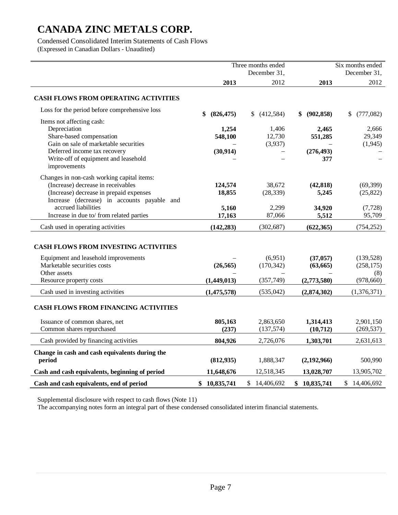Condensed Consolidated Interim Statements of Cash Flows (Expressed in Canadian Dollars - Unaudited)

Three months ended December 31, Six months ended December 31, **2013** 2012 **2013** 2012 **CASH FLOWS FROM OPERATING ACTIVITIES**  Loss for the period before comprehensive loss **\$ (826,475)** \$ (412,584) **\$ (902,858)** \$ (777,082) Items not affecting cash: Depreciation **1,254** 1,406 **2,465** 2,666 Share-based compensation **548,100** 12,730 **551,285** 29,349 Gain on sale of marketable securities  $(1.945)$   $(1.945)$ Deferred income tax recovery **(30,914)** – **(276,493)** – Write-off of equipment and leasehold improvements – – **377** – Changes in non-cash working capital items: (Increase) decrease in receivables **124,574** 38,672 **(42,818)** (69,399) (Increase) decrease in prepaid expenses **18,855** (28,339) **5,245** (25,822) Increase (decrease) in accounts payable and accrued liabilities **5,160** 2,299 **34,920** (7,728) Increase in due to/ from related parties **17,163** 87,066 **5,512** 95,709 Cash used in operating activities **(142,283)** (302,687) **(622,365)** (754,252) **CASH FLOWS FROM INVESTING ACTIVITIES**  Equipment and leasehold improvements – (6,951) **(37,057)** (139,528) Marketable securities costs **(26,565)** (170,342) **(63,665)** (258,175) Other assets  $(8)$ Resource property costs **(1,449,013)** (357,749) **(2,773,580)** (978,660) Cash used in investing activities **(1,475,578)** (535,042) **(2,874,302)** (1,376,371) **CASH FLOWS FROM FINANCING ACTIVITIES**  Issuance of common shares, net **805,163** 2,863,650 **1,314,413** 2,901,150 Common shares repurchased **(237)** (137,574) **(10,712)** (269,537) Cash provided by financing activities **804,926** 2,726,076 **1,303,701** 2,631,613 **Change in cash and cash equivalents during the period (812,935)** 1,888,347 **(2,192,966)** 500,990 **Cash and cash equivalents, beginning of period 11,648,676** 12,518,345 **13,028,707** 13,905,702 **Cash and cash equivalents, end of period \$ 10,835,741** \$ 14,406,692 **\$ 10,835,741** \$ 14,406,692

Supplemental disclosure with respect to cash flows (Note 11)

The accompanying notes form an integral part of these condensed consolidated interim financial statements.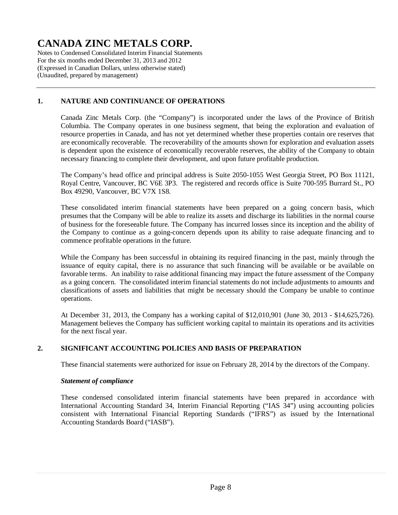Notes to Condensed Consolidated Interim Financial Statements For the six months ended December 31, 2013 and 2012 (Expressed in Canadian Dollars, unless otherwise stated) (Unaudited, prepared by management)

### **1. NATURE AND CONTINUANCE OF OPERATIONS**

Canada Zinc Metals Corp. (the "Company") is incorporated under the laws of the Province of British Columbia. The Company operates in one business segment, that being the exploration and evaluation of resource properties in Canada, and has not yet determined whether these properties contain ore reserves that are economically recoverable. The recoverability of the amounts shown for exploration and evaluation assets is dependent upon the existence of economically recoverable reserves, the ability of the Company to obtain necessary financing to complete their development, and upon future profitable production.

The Company's head office and principal address is Suite 2050-1055 West Georgia Street, PO Box 11121, Royal Centre, Vancouver, BC V6E 3P3. The registered and records office is Suite 700-595 Burrard St., PO Box 49290, Vancouver, BC V7X 1S8.

These consolidated interim financial statements have been prepared on a going concern basis, which presumes that the Company will be able to realize its assets and discharge its liabilities in the normal course of business for the foreseeable future. The Company has incurred losses since its inception and the ability of the Company to continue as a going-concern depends upon its ability to raise adequate financing and to commence profitable operations in the future.

While the Company has been successful in obtaining its required financing in the past, mainly through the issuance of equity capital, there is no assurance that such financing will be available or be available on favorable terms. An inability to raise additional financing may impact the future assessment of the Company as a going concern. The consolidated interim financial statements do not include adjustments to amounts and classifications of assets and liabilities that might be necessary should the Company be unable to continue operations.

At December 31, 2013, the Company has a working capital of \$12,010,901 (June 30, 2013 - \$14,625,726). Management believes the Company has sufficient working capital to maintain its operations and its activities for the next fiscal year.

#### **2. SIGNIFICANT ACCOUNTING POLICIES AND BASIS OF PREPARATION**

These financial statements were authorized for issue on February 28, 2014 by the directors of the Company.

#### *Statement of compliance*

These condensed consolidated interim financial statements have been prepared in accordance with International Accounting Standard 34, Interim Financial Reporting ("IAS 34") using accounting policies consistent with International Financial Reporting Standards ("IFRS") as issued by the International Accounting Standards Board ("IASB").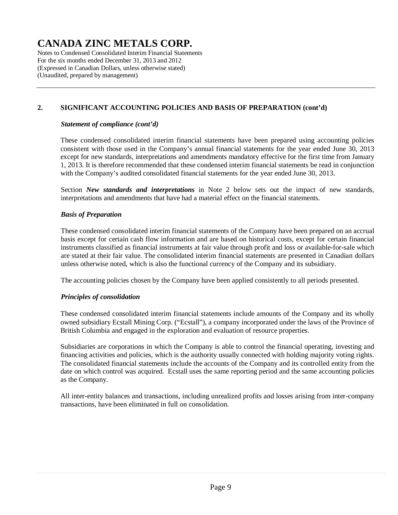Notes to Condensed Consolidated Interim Financial Statements For the six months ended December 31, 2013 and 2012 (Expressed in Canadian Dollars, unless otherwise stated) (Unaudited, prepared by management)

### **2. SIGNIFICANT ACCOUNTING POLICIES AND BASIS OF PREPARATION (cont'd)**

#### *Statement of compliance (cont'd)*

These condensed consolidated interim financial statements have been prepared using accounting policies consistent with those used in the Company's annual financial statements for the year ended June 30, 2013 except for new standards, interpretations and amendments mandatory effective for the first time from January 1, 2013. It is therefore recommended that these condensed interim financial statements be read in conjunction with the Company's audited consolidated financial statements for the year ended June 30, 2013.

Section *New standards and interpretations* in Note 2 below sets out the impact of new standards, interpretations and amendments that have had a material effect on the financial statements.

#### *Basis of Preparation*

These condensed consolidated interim financial statements of the Company have been prepared on an accrual basis except for certain cash flow information and are based on historical costs, except for certain financial instruments classified as financial instruments at fair value through profit and loss or available-for-sale which are stated at their fair value. The consolidated interim financial statements are presented in Canadian dollars unless otherwise noted, which is also the functional currency of the Company and its subsidiary.

The accounting policies chosen by the Company have been applied consistently to all periods presented.

#### *Principles of consolidation*

These condensed consolidated interim financial statements include amounts of the Company and its wholly owned subsidiary Ecstall Mining Corp. ("Ecstall"), a company incorporated under the laws of the Province of British Columbia and engaged in the exploration and evaluation of resource properties.

Subsidiaries are corporations in which the Company is able to control the financial operating, investing and financing activities and policies, which is the authority usually connected with holding majority voting rights. The consolidated financial statements include the accounts of the Company and its controlled entity from the date on which control was acquired. Ecstall uses the same reporting period and the same accounting policies as the Company.

All inter-entity balances and transactions, including unrealized profits and losses arising from inter-company transactions, have been eliminated in full on consolidation.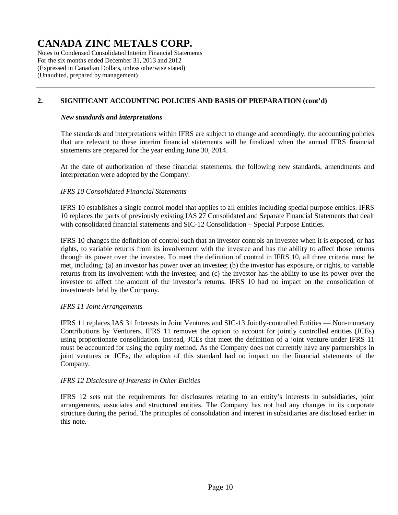Notes to Condensed Consolidated Interim Financial Statements For the six months ended December 31, 2013 and 2012 (Expressed in Canadian Dollars, unless otherwise stated) (Unaudited, prepared by management)

### **2. SIGNIFICANT ACCOUNTING POLICIES AND BASIS OF PREPARATION (cont'd)**

#### *New standards and interpretations*

The standards and interpretations within IFRS are subject to change and accordingly, the accounting policies that are relevant to these interim financial statements will be finalized when the annual IFRS financial statements are prepared for the year ending June 30, 2014.

At the date of authorization of these financial statements, the following new standards, amendments and interpretation were adopted by the Company:

#### *IFRS 10 Consolidated Financial Statements*

IFRS 10 establishes a single control model that applies to all entities including special purpose entities. IFRS 10 replaces the parts of previously existing IAS 27 Consolidated and Separate Financial Statements that dealt with consolidated financial statements and SIC-12 Consolidation – Special Purpose Entities.

IFRS 10 changes the definition of control such that an investor controls an investee when it is exposed, or has rights, to variable returns from its involvement with the investee and has the ability to affect those returns through its power over the investee. To meet the definition of control in IFRS 10, all three criteria must be met, including: (a) an investor has power over an investee; (b) the investor has exposure, or rights, to variable returns from its involvement with the investee; and (c) the investor has the ability to use its power over the investee to affect the amount of the investor's returns. IFRS 10 had no impact on the consolidation of investments held by the Company.

#### *IFRS 11 Joint Arrangements*

IFRS 11 replaces IAS 31 Interests in Joint Ventures and SIC-13 Jointly-controlled Entities — Non-monetary Contributions by Venturers. IFRS 11 removes the option to account for jointly controlled entities (JCEs) using proportionate consolidation. Instead, JCEs that meet the definition of a joint venture under IFRS 11 must be accounted for using the equity method. As the Company does not currently have any partnerships in joint ventures or JCEs, the adoption of this standard had no impact on the financial statements of the Company.

#### *IFRS 12 Disclosure of Interests in Other Entities*

IFRS 12 sets out the requirements for disclosures relating to an entity's interests in subsidiaries, joint arrangements, associates and structured entities. The Company has not had any changes in its corporate structure during the period. The principles of consolidation and interest in subsidiaries are disclosed earlier in this note.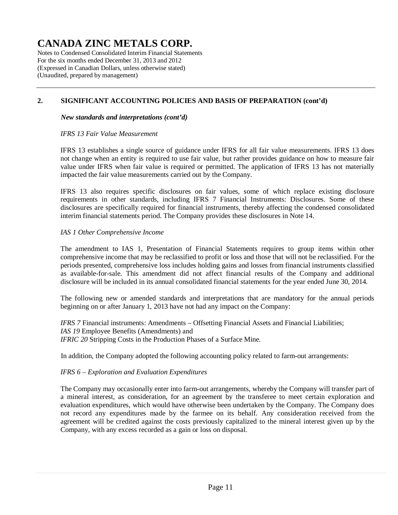Notes to Condensed Consolidated Interim Financial Statements For the six months ended December 31, 2013 and 2012 (Expressed in Canadian Dollars, unless otherwise stated) (Unaudited, prepared by management)

### **2. SIGNIFICANT ACCOUNTING POLICIES AND BASIS OF PREPARATION (cont'd)**

#### *New standards and interpretations (cont'd)*

#### *IFRS 13 Fair Value Measurement*

IFRS 13 establishes a single source of guidance under IFRS for all fair value measurements. IFRS 13 does not change when an entity is required to use fair value, but rather provides guidance on how to measure fair value under IFRS when fair value is required or permitted. The application of IFRS 13 has not materially impacted the fair value measurements carried out by the Company.

IFRS 13 also requires specific disclosures on fair values, some of which replace existing disclosure requirements in other standards, including IFRS 7 Financial Instruments: Disclosures. Some of these disclosures are specifically required for financial instruments, thereby affecting the condensed consolidated interim financial statements period. The Company provides these disclosures in Note 14.

#### *IAS 1 Other Comprehensive Income*

The amendment to IAS 1, Presentation of Financial Statements requires to group items within other comprehensive income that may be reclassified to profit or loss and those that will not be reclassified. For the periods presented, comprehensive loss includes holding gains and losses from financial instruments classified as available-for-sale. This amendment did not affect financial results of the Company and additional disclosure will be included in its annual consolidated financial statements for the year ended June 30, 2014.

The following new or amended standards and interpretations that are mandatory for the annual periods beginning on or after January 1, 2013 have not had any impact on the Company:

*IFRS 7* Financial instruments: Amendments – Offsetting Financial Assets and Financial Liabilities; *IAS 19* Employee Benefits (Amendments) and *IFRIC 20* Stripping Costs in the Production Phases of a Surface Mine.

In addition, the Company adopted the following accounting policy related to farm-out arrangements:

#### *IFRS 6 – Exploration and Evaluation Expenditures*

The Company may occasionally enter into farm-out arrangements, whereby the Company will transfer part of a mineral interest, as consideration, for an agreement by the transferee to meet certain exploration and evaluation expenditures, which would have otherwise been undertaken by the Company. The Company does not record any expenditures made by the farmee on its behalf. Any consideration received from the agreement will be credited against the costs previously capitalized to the mineral interest given up by the Company, with any excess recorded as a gain or loss on disposal.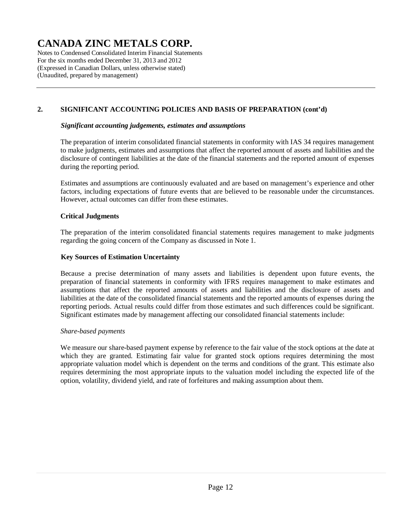Notes to Condensed Consolidated Interim Financial Statements For the six months ended December 31, 2013 and 2012 (Expressed in Canadian Dollars, unless otherwise stated) (Unaudited, prepared by management)

### **2. SIGNIFICANT ACCOUNTING POLICIES AND BASIS OF PREPARATION (cont'd)**

#### *Significant accounting judgements, estimates and assumptions*

The preparation of interim consolidated financial statements in conformity with IAS 34 requires management to make judgments, estimates and assumptions that affect the reported amount of assets and liabilities and the disclosure of contingent liabilities at the date of the financial statements and the reported amount of expenses during the reporting period.

Estimates and assumptions are continuously evaluated and are based on management's experience and other factors, including expectations of future events that are believed to be reasonable under the circumstances. However, actual outcomes can differ from these estimates.

#### **Critical Judgments**

The preparation of the interim consolidated financial statements requires management to make judgments regarding the going concern of the Company as discussed in Note 1.

#### **Key Sources of Estimation Uncertainty**

Because a precise determination of many assets and liabilities is dependent upon future events, the preparation of financial statements in conformity with IFRS requires management to make estimates and assumptions that affect the reported amounts of assets and liabilities and the disclosure of assets and liabilities at the date of the consolidated financial statements and the reported amounts of expenses during the reporting periods. Actual results could differ from those estimates and such differences could be significant. Significant estimates made by management affecting our consolidated financial statements include:

#### *Share-based payments*

We measure our share-based payment expense by reference to the fair value of the stock options at the date at which they are granted. Estimating fair value for granted stock options requires determining the most appropriate valuation model which is dependent on the terms and conditions of the grant. This estimate also requires determining the most appropriate inputs to the valuation model including the expected life of the option, volatility, dividend yield, and rate of forfeitures and making assumption about them.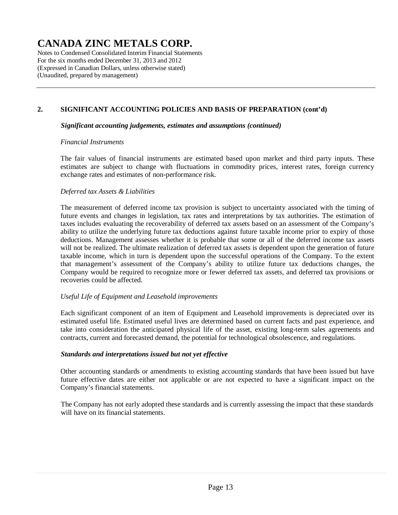Notes to Condensed Consolidated Interim Financial Statements For the six months ended December 31, 2013 and 2012 (Expressed in Canadian Dollars, unless otherwise stated) (Unaudited, prepared by management)

### **2. SIGNIFICANT ACCOUNTING POLICIES AND BASIS OF PREPARATION (cont'd)**

#### *Significant accounting judgements, estimates and assumptions (continued)*

#### *Financial Instruments*

The fair values of financial instruments are estimated based upon market and third party inputs. These estimates are subject to change with fluctuations in commodity prices, interest rates, foreign currency exchange rates and estimates of non-performance risk.

#### *Deferred tax Assets & Liabilities*

The measurement of deferred income tax provision is subject to uncertainty associated with the timing of future events and changes in legislation, tax rates and interpretations by tax authorities. The estimation of taxes includes evaluating the recoverability of deferred tax assets based on an assessment of the Company's ability to utilize the underlying future tax deductions against future taxable income prior to expiry of those deductions. Management assesses whether it is probable that some or all of the deferred income tax assets will not be realized. The ultimate realization of deferred tax assets is dependent upon the generation of future taxable income, which in turn is dependent upon the successful operations of the Company. To the extent that management's assessment of the Company's ability to utilize future tax deductions changes, the Company would be required to recognize more or fewer deferred tax assets, and deferred tax provisions or recoveries could be affected.

#### *Useful Life of Equipment and Leasehold improvements*

Each significant component of an item of Equipment and Leasehold improvements is depreciated over its estimated useful life. Estimated useful lives are determined based on current facts and past experience, and take into consideration the anticipated physical life of the asset, existing long-term sales agreements and contracts, current and forecasted demand, the potential for technological obsolescence, and regulations.

#### *Standards and interpretations issued but not yet effective*

Other accounting standards or amendments to existing accounting standards that have been issued but have future effective dates are either not applicable or are not expected to have a significant impact on the Company's financial statements.

The Company has not early adopted these standards and is currently assessing the impact that these standards will have on its financial statements.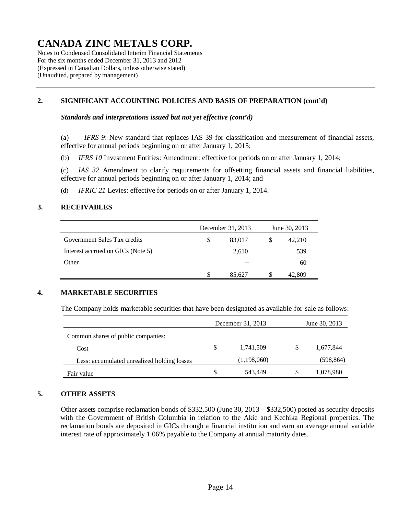Notes to Condensed Consolidated Interim Financial Statements For the six months ended December 31, 2013 and 2012 (Expressed in Canadian Dollars, unless otherwise stated) (Unaudited, prepared by management)

### **2. SIGNIFICANT ACCOUNTING POLICIES AND BASIS OF PREPARATION (cont'd)**

*Standards and interpretations issued but not yet effective (cont'd)* 

(a) *IFRS 9*: New standard that replaces IAS 39 for classification and measurement of financial assets, effective for annual periods beginning on or after January 1, 2015;

(b) *IFRS 10* Investment Entities: Amendment: effective for periods on or after January 1, 2014;

(c) *IAS 32* Amendment to clarify requirements for offsetting financial assets and financial liabilities, effective for annual periods beginning on or after January 1, 2014; and

(d) *IFRIC 21* Levies: effective for periods on or after January 1, 2014.

### **3. RECEIVABLES**

|                                   | December 31, 2013 |   | June 30, 2013 |
|-----------------------------------|-------------------|---|---------------|
| Government Sales Tax credits      | \$<br>83,017      |   | 42,210        |
| Interest accrued on GICs (Note 5) | 2,610             |   | 539           |
| Other                             |                   |   | 60            |
|                                   | 85.627            | S | 42,809        |

#### **4. MARKETABLE SECURITIES**

The Company holds marketable securities that have been designated as available-for-sale as follows:

|                                             |    | December 31, 2013 | June 30, 2013   |
|---------------------------------------------|----|-------------------|-----------------|
| Common shares of public companies:          |    |                   |                 |
| Cost                                        | S  | 1,741,509         | \$<br>1,677,844 |
| Less: accumulated unrealized holding losses |    | (1,198,060)       | (598,864)       |
| Fair value                                  | \$ | 543.449           | \$<br>1,078,980 |

#### **5. OTHER ASSETS**

Other assets comprise reclamation bonds of \$332,500 (June 30, 2013 – \$332,500) posted as security deposits with the Government of British Columbia in relation to the Akie and Kechika Regional properties. The reclamation bonds are deposited in GICs through a financial institution and earn an average annual variable interest rate of approximately 1.06% payable to the Company at annual maturity dates.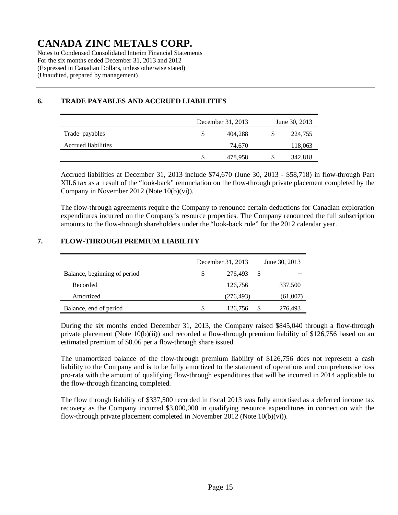Notes to Condensed Consolidated Interim Financial Statements For the six months ended December 31, 2013 and 2012 (Expressed in Canadian Dollars, unless otherwise stated) (Unaudited, prepared by management)

## December 31, 2013 June 30, 2013 Trade payables 6 104.288 \$ 224,755 Accrued liabilities 24,670 118,063 \$ 478,958 \$ 342,818

### **6. TRADE PAYABLES AND ACCRUED LIABILITIES**

Accrued liabilities at December 31, 2013 include \$74,670 (June 30, 2013 - \$58,718) in flow-through Part XII.6 tax as a result of the "look-back" renunciation on the flow-through private placement completed by the Company in November 2012 (Note 10(b)(vi)).

The flow-through agreements require the Company to renounce certain deductions for Canadian exploration expenditures incurred on the Company's resource properties. The Company renounced the full subscription amounts to the flow-through shareholders under the "look-back rule" for the 2012 calendar year.

### **7. FLOW-THROUGH PREMIUM LIABILITY**

|                              |   | December 31, 2013 | June 30, 2013 |
|------------------------------|---|-------------------|---------------|
| Balance, beginning of period | S | 276,493           | \$            |
| Recorded                     |   | 126,756           | 337,500       |
| Amortized                    |   | (276, 493)        | (61,007)      |
| Balance, end of period       | S | 126,756           | \$<br>276,493 |

During the six months ended December 31, 2013, the Company raised \$845,040 through a flow-through private placement (Note 10(b)(ii)) and recorded a flow-through premium liability of \$126,756 based on an estimated premium of \$0.06 per a flow-through share issued.

The unamortized balance of the flow-through premium liability of \$126,756 does not represent a cash liability to the Company and is to be fully amortized to the statement of operations and comprehensive loss pro-rata with the amount of qualifying flow-through expenditures that will be incurred in 2014 applicable to the flow-through financing completed.

The flow through liability of \$337,500 recorded in fiscal 2013 was fully amortised as a deferred income tax recovery as the Company incurred \$3,000,000 in qualifying resource expenditures in connection with the flow-through private placement completed in November 2012 (Note 10(b)(vi)).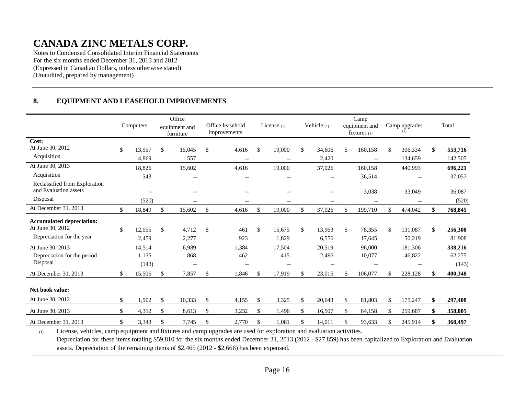Notes to Condensed Consolidated Interim Financial Statements For the six months ended December 31, 2013 and 2012 (Expressed in Canadian Dollars, unless otherwise stated) (Unaudited, prepared by management)

### **8. EQUIPMENT AND LEASEHOLD IMPROVEMENTS**

|                                                                                   | Computers             | Office<br>equipment and<br>furniture |              | Office leasehold<br>improvements        | License $(1)$   |              | Vehicle (1)              | Camp<br>equipment and<br>fixtures $(1)$ |     | Camp upgrades      |              | Total                      |
|-----------------------------------------------------------------------------------|-----------------------|--------------------------------------|--------------|-----------------------------------------|-----------------|--------------|--------------------------|-----------------------------------------|-----|--------------------|--------------|----------------------------|
| Cost:<br>At June 30, 2012                                                         |                       |                                      |              |                                         |                 |              |                          |                                         |     |                    |              |                            |
| Acquisition                                                                       | \$<br>13,957<br>4,869 | \$<br>15,045<br>557                  | $\mathbb{S}$ | 4,616                                   | \$<br>19,000    | $\mathbb{S}$ | 34,606<br>2,420          | \$<br>160,158                           | \$  | 306,334<br>134,659 | $\mathbb{S}$ | 553,716<br>142,505         |
| At June 30, 2013                                                                  | 18,826                | 15,602                               |              | $\qquad \qquad \longleftarrow$<br>4,616 | —<br>19,000     |              | 37,026                   | $\overline{\phantom{m}}$<br>160,158     |     | 440,993            |              | 696,221                    |
| Acquisition                                                                       | 543                   |                                      |              |                                         |                 |              |                          | 36,514                                  |     |                    |              | 37,057                     |
| Reclassified from Exploration<br>and Evaluation assets                            |                       |                                      |              |                                         |                 |              |                          | 3,038                                   |     | 33,049             |              | 36,087                     |
| Disposal                                                                          | (520)                 |                                      |              |                                         |                 |              |                          |                                         |     |                    |              | (520)                      |
| At December 31, 2013                                                              | \$<br>18,849          | \$<br>15,602                         | \$           | 4,616                                   | \$<br>19,000    | \$           | 37,026                   | \$<br>199,710                           | \$  | 474,042            | \$           | 768,845                    |
| <b>Accumulated depreciation:</b><br>At June 30, 2012<br>Depreciation for the year | \$<br>12,055          | \$<br>4,712                          | \$           | 461                                     | \$<br>15,675    | $\mathbb{S}$ | 13,963                   | \$<br>78,355                            | \$  | 131,087            | \$           | 256,308                    |
| At June 30, 2013                                                                  | 2,459<br>14,514       | 2,277<br>6,989                       |              | 923<br>1,384                            | 1,829<br>17,504 |              | 6,556<br>20,519          | 17,645<br>96,000                        |     | 50,219<br>181,306  |              | 81,908                     |
| Depreciation for the period<br>Disposal                                           | 1,135<br>(143)        | 868<br>$\overline{\phantom{m}}$      |              | 462<br>$\qquad \qquad =$                | 415<br>—        |              | 2,496<br>$\qquad \qquad$ | 10,077                                  |     | 46,822             |              | 338,216<br>62,275<br>(143) |
| At December 31, 2013                                                              | \$<br>15,506          | \$<br>7,857                          | $\mathbb{S}$ | 1,846                                   | \$<br>17,919    | \$           | 23,015                   | \$<br>106,077                           | \$. | 228,128            | \$           | 400,348                    |
| Net book value:<br>At June 30, 2012                                               | \$<br>1.902           | \$<br>10,333                         | \$           | 4,155                                   | \$<br>3,325     | $\mathbb{S}$ | 20,643                   | \$<br>81,803                            | S   | 175,247            | \$           | 297,408                    |
|                                                                                   |                       |                                      |              |                                         |                 |              |                          |                                         |     |                    |              |                            |
| At June 30, 2013                                                                  | \$<br>4,312           | \$<br>8,613                          | \$           | 3,232                                   | \$<br>1,496     | \$           | 16,507                   | \$<br>64,158                            | \$  | 259,687            | \$           | 358,005                    |
| At December 31, 2013                                                              | \$<br>3,343           | \$<br>7,745                          | \$           | 2,770                                   | \$<br>1,081     | \$           | 14,011                   | \$<br>93,633                            | \$  | 245,914            | \$           | 368,497                    |

(1) License, vehicles, camp equipment and fixtures and camp upgrades are used for exploration and evaluation activities. Depreciation for these items totaling \$59,810 for the six months ended December 31, 2013 (2012 - \$27,859) has been capitalized to Exploration and Evaluation assets. Depreciation of the remaining items of \$2,465 (2012 - \$2,666) has been expensed.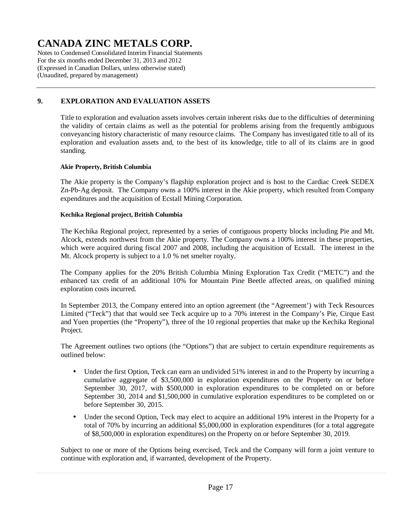Notes to Condensed Consolidated Interim Financial Statements For the six months ended December 31, 2013 and 2012 (Expressed in Canadian Dollars, unless otherwise stated) (Unaudited, prepared by management)

### **9. EXPLORATION AND EVALUATION ASSETS**

Title to exploration and evaluation assets involves certain inherent risks due to the difficulties of determining the validity of certain claims as well as the potential for problems arising from the frequently ambiguous conveyancing history characteristic of many resource claims. The Company has investigated title to all of its exploration and evaluation assets and, to the best of its knowledge, title to all of its claims are in good standing.

#### **Akie Property, British Columbia**

The Akie property is the Company's flagship exploration project and is host to the Cardiac Creek SEDEX Zn-Pb-Ag deposit. The Company owns a 100% interest in the Akie property, which resulted from Company expenditures and the acquisition of Ecstall Mining Corporation.

#### **Kechika Regional project, British Columbia**

The Kechika Regional project, represented by a series of contiguous property blocks including Pie and Mt. Alcock, extends northwest from the Akie property. The Company owns a 100% interest in these properties, which were acquired during fiscal 2007 and 2008, including the acquisition of Ecstall. The interest in the Mt. Alcock property is subject to a 1.0 % net smelter royalty.

The Company applies for the 20% British Columbia Mining Exploration Tax Credit ("METC") and the enhanced tax credit of an additional 10% for Mountain Pine Beetle affected areas, on qualified mining exploration costs incurred.

In September 2013, the Company entered into an option agreement (the "Agreement') with Teck Resources Limited ("Teck") that that would see Teck acquire up to a 70% interest in the Company's Pie, Cirque East and Yuen properties (the "Property"), three of the 10 regional properties that make up the Kechika Regional Project.

The Agreement outlines two options (the "Options") that are subject to certain expenditure requirements as outlined below:

- Under the first Option, Teck can earn an undivided 51% interest in and to the Property by incurring a cumulative aggregate of \$3,500,000 in exploration expenditures on the Property on or before September 30, 2017, with \$500,000 in exploration expenditures to be completed on or before September 30, 2014 and \$1,500,000 in cumulative exploration expenditures to be completed on or before September 30, 2015.
- Under the second Option, Teck may elect to acquire an additional 19% interest in the Property for a total of 70% by incurring an additional \$5,000,000 in exploration expenditures (for a total aggregate of \$8,500,000 in exploration expenditures) on the Property on or before September 30, 2019.

Subject to one or more of the Options being exercised, Teck and the Company will form a joint venture to continue with exploration and, if warranted, development of the Property.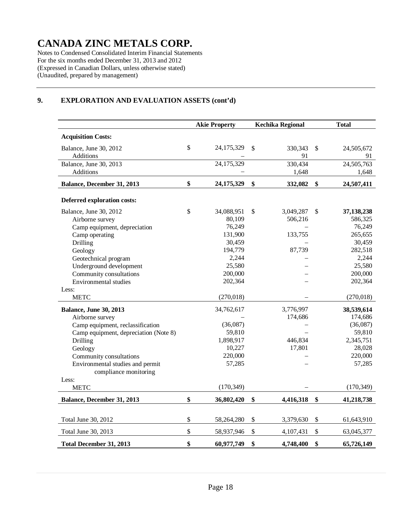Notes to Condensed Consolidated Interim Financial Statements For the six months ended December 31, 2013 and 2012 (Expressed in Canadian Dollars, unless otherwise stated) (Unaudited, prepared by management)

### **9. EXPLORATION AND EVALUATION ASSETS (cont'd)**

|                                       |              | <b>Akie Property</b> |                                 | <b>Kechika Regional</b> |                           | <b>Total</b> |
|---------------------------------------|--------------|----------------------|---------------------------------|-------------------------|---------------------------|--------------|
| <b>Acquisition Costs:</b>             |              |                      |                                 |                         |                           |              |
| Balance, June 30, 2012                | \$           | 24,175,329           | $\mathcal{S}$                   | 330,343                 | $\mathbb{S}$              | 24,505,672   |
| Additions                             |              |                      |                                 | 91                      |                           | 91           |
| Balance, June 30, 2013                |              | 24,175,329           |                                 | 330,434                 |                           | 24,505,763   |
| Additions                             |              |                      |                                 | 1,648                   |                           | 1,648        |
| Balance, December 31, 2013            | \$           | 24,175,329           | $\boldsymbol{\hat{\mathsf{s}}}$ | 332,082                 | \$                        | 24,507,411   |
| <b>Deferred exploration costs:</b>    |              |                      |                                 |                         |                           |              |
| Balance, June 30, 2012                | $\mathbb{S}$ | 34,088,951           | \$                              | 3,049,287               | $\mathbb{S}$              | 37,138,238   |
| Airborne survey                       |              | 80,109               |                                 | 506,216                 |                           | 586,325      |
| Camp equipment, depreciation          |              | 76,249               |                                 |                         |                           | 76,249       |
| Camp operating                        |              | 131,900              |                                 | 133,755                 |                           | 265,655      |
| Drilling                              |              | 30,459               |                                 |                         |                           | 30,459       |
| Geology                               |              | 194,779              |                                 | 87,739                  |                           | 282,518      |
| Geotechnical program                  |              | 2,244                |                                 |                         |                           | 2,244        |
| Underground development               |              | 25,580               |                                 |                         |                           | 25,580       |
| Community consultations               |              | 200,000              |                                 |                         |                           | 200,000      |
| Environmental studies                 |              | 202,364              |                                 |                         |                           | 202,364      |
| Less:                                 |              |                      |                                 |                         |                           |              |
| <b>METC</b>                           |              | (270, 018)           |                                 |                         |                           | (270, 018)   |
| <b>Balance, June 30, 2013</b>         |              | 34,762,617           |                                 | 3,776,997               |                           | 38,539,614   |
| Airborne survey                       |              |                      |                                 | 174,686                 |                           | 174,686      |
| Camp equipment, reclassification      |              | (36,087)             |                                 |                         |                           | (36,087)     |
| Camp equipment, depreciation (Note 8) |              | 59,810               |                                 |                         |                           | 59,810       |
| Drilling                              |              | 1,898,917            |                                 | 446,834                 |                           | 2,345,751    |
| Geology                               |              | 10,227               |                                 | 17,801                  |                           | 28,028       |
| Community consultations               |              | 220,000              |                                 |                         |                           | 220,000      |
| Environmental studies and permit      |              | 57,285               |                                 |                         |                           | 57,285       |
| compliance monitoring                 |              |                      |                                 |                         |                           |              |
| Less:                                 |              |                      |                                 |                         |                           |              |
| <b>METC</b>                           |              | (170, 349)           |                                 |                         |                           | (170, 349)   |
| Balance, December 31, 2013            | \$           | 36,802,420           | \$                              | 4,416,318               | \$                        | 41,218,738   |
|                                       |              |                      |                                 |                         |                           |              |
| Total June 30, 2012                   | \$           | 58,264,280           | \$                              | 3,379,630               | $\boldsymbol{\mathsf{S}}$ | 61,643,910   |
| Total June 30, 2013                   | \$           | 58,937,946           | \$                              | 4,107,431               | \$                        | 63,045,377   |
| <b>Total December 31, 2013</b>        | \$           | 60,977,749           | \$                              | 4,748,400               | \$                        | 65,726,149   |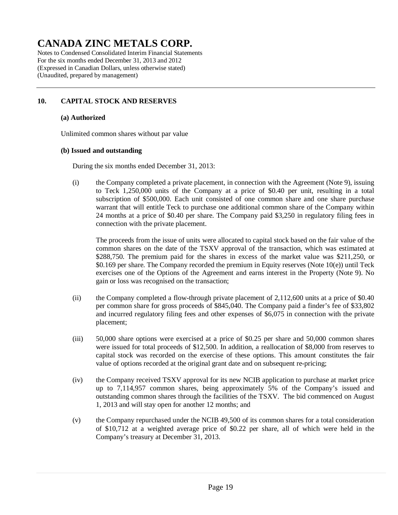Notes to Condensed Consolidated Interim Financial Statements For the six months ended December 31, 2013 and 2012 (Expressed in Canadian Dollars, unless otherwise stated) (Unaudited, prepared by management)

### **10. CAPITAL STOCK AND RESERVES**

#### **(a) Authorized**

Unlimited common shares without par value

#### **(b) Issued and outstanding**

During the six months ended December 31, 2013:

(i) the Company completed a private placement, in connection with the Agreement (Note 9), issuing to Teck 1,250,000 units of the Company at a price of \$0.40 per unit, resulting in a total subscription of \$500,000. Each unit consisted of one common share and one share purchase warrant that will entitle Teck to purchase one additional common share of the Company within 24 months at a price of \$0.40 per share. The Company paid \$3,250 in regulatory filing fees in connection with the private placement.

The proceeds from the issue of units were allocated to capital stock based on the fair value of the common shares on the date of the TSXV approval of the transaction, which was estimated at \$288,750. The premium paid for the shares in excess of the market value was \$211,250, or \$0.169 per share. The Company recorded the premium in Equity reserves (Note 10(e)) until Teck exercises one of the Options of the Agreement and earns interest in the Property (Note 9). No gain or loss was recognised on the transaction;

- (ii) the Company completed a flow-through private placement of 2,112,600 units at a price of \$0.40 per common share for gross proceeds of \$845,040. The Company paid a finder's fee of \$33,802 and incurred regulatory filing fees and other expenses of \$6,075 in connection with the private placement;
- (iii) 50,000 share options were exercised at a price of \$0.25 per share and 50,000 common shares were issued for total proceeds of \$12,500. In addition, a reallocation of \$8,000 from reserves to capital stock was recorded on the exercise of these options. This amount constitutes the fair value of options recorded at the original grant date and on subsequent re-pricing;
- (iv) the Company received TSXV approval for its new NCIB application to purchase at market price up to 7,114,957 common shares, being approximately 5% of the Company's issued and outstanding common shares through the facilities of the TSXV. The bid commenced on August 1, 2013 and will stay open for another 12 months; and
- (v) the Company repurchased under the NCIB 49,500 of its common shares for a total consideration of \$10,712 at a weighted average price of \$0.22 per share, all of which were held in the Company's treasury at December 31, 2013.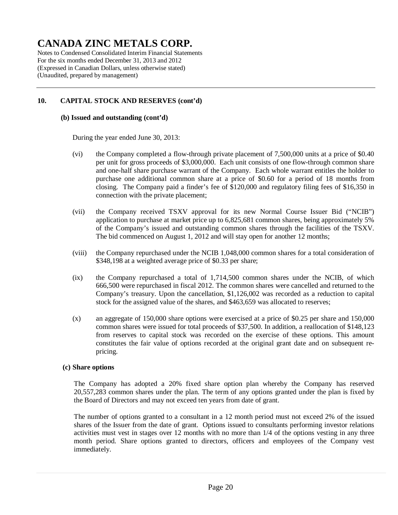Notes to Condensed Consolidated Interim Financial Statements For the six months ended December 31, 2013 and 2012 (Expressed in Canadian Dollars, unless otherwise stated) (Unaudited, prepared by management)

### **10. CAPITAL STOCK AND RESERVES (cont'd)**

#### **(b) Issued and outstanding (cont'd)**

During the year ended June 30, 2013:

- (vi) the Company completed a flow-through private placement of 7,500,000 units at a price of \$0.40 per unit for gross proceeds of \$3,000,000. Each unit consists of one flow-through common share and one-half share purchase warrant of the Company. Each whole warrant entitles the holder to purchase one additional common share at a price of \$0.60 for a period of 18 months from closing. The Company paid a finder's fee of \$120,000 and regulatory filing fees of \$16,350 in connection with the private placement;
- (vii) the Company received TSXV approval for its new Normal Course Issuer Bid ("NCIB") application to purchase at market price up to 6,825,681 common shares, being approximately 5% of the Company's issued and outstanding common shares through the facilities of the TSXV. The bid commenced on August 1, 2012 and will stay open for another 12 months;
- (viii) the Company repurchased under the NCIB 1,048,000 common shares for a total consideration of \$348,198 at a weighted average price of \$0.33 per share;
- (ix) the Company repurchased a total of 1,714,500 common shares under the NCIB, of which 666,500 were repurchased in fiscal 2012. The common shares were cancelled and returned to the Company's treasury. Upon the cancellation, \$1,126,002 was recorded as a reduction to capital stock for the assigned value of the shares, and \$463,659 was allocated to reserves;
- (x) an aggregate of 150,000 share options were exercised at a price of \$0.25 per share and 150,000 common shares were issued for total proceeds of \$37,500. In addition, a reallocation of \$148,123 from reserves to capital stock was recorded on the exercise of these options. This amount constitutes the fair value of options recorded at the original grant date and on subsequent repricing.

#### **(c) Share options**

The Company has adopted a 20% fixed share option plan whereby the Company has reserved 20,557,283 common shares under the plan. The term of any options granted under the plan is fixed by the Board of Directors and may not exceed ten years from date of grant.

The number of options granted to a consultant in a 12 month period must not exceed 2% of the issued shares of the Issuer from the date of grant. Options issued to consultants performing investor relations activities must vest in stages over 12 months with no more than 1/4 of the options vesting in any three month period. Share options granted to directors, officers and employees of the Company vest immediately.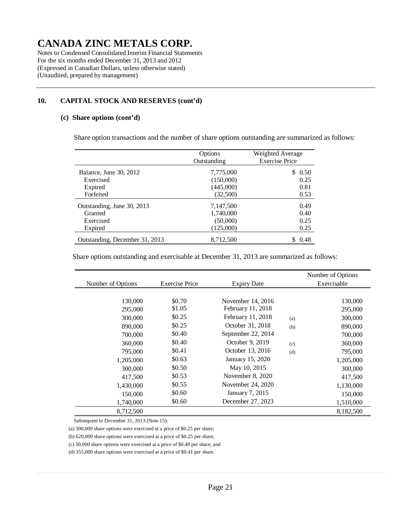Notes to Condensed Consolidated Interim Financial Statements For the six months ended December 31, 2013 and 2012 (Expressed in Canadian Dollars, unless otherwise stated) (Unaudited, prepared by management)

### **10. CAPITAL STOCK AND RESERVES (cont'd)**

#### **(c) Share options (cont'd)**

Share option transactions and the number of share options outstanding are summarized as follows:

|                                | Options<br>Outstanding | Weighted Average<br><b>Exercise Price</b> |
|--------------------------------|------------------------|-------------------------------------------|
| Balance, June 30, 2012         | 7,775,000              | \$0.50                                    |
| Exercised                      | (150,000)              | 0.25                                      |
| Expired                        | (445,000)              | 0.81                                      |
| Forfeited                      | (32,500)               | 0.53                                      |
| Outstanding, June 30, 2013     | 7,147,500              | 0.49                                      |
| Granted                        | 1,740,000              | 0.40                                      |
| Exercised                      | (50,000)               | 0.25                                      |
| Expired                        | (125,000)              | 0.25                                      |
| Outstanding, December 31, 2013 | 8,712,500              | 0.48                                      |

Share options outstanding and exercisable at December 31, 2013 are summarized as follows:

|                   |                       |                    |     | Number of Options |
|-------------------|-----------------------|--------------------|-----|-------------------|
| Number of Options | <b>Exercise Price</b> | <b>Expiry Date</b> |     | Exercisable       |
|                   |                       |                    |     |                   |
| 130,000           | \$0.70                | November 14, 2016  |     | 130,000           |
| 295,000           | \$1.05                | February 11, 2018  |     | 295,000           |
| 300,000           | \$0.25                | February 11, 2018  | (a) | 300,000           |
| 890,000           | \$0.25                | October 31, 2018   | (b) | 890,000           |
| 700,000           | \$0.40                | September 22, 2014 |     | 700,000           |
| 360,000           | \$0.40                | October 9, 2019    | (c) | 360,000           |
| 795,000           | \$0.41                | October 13, 2016   | (d) | 795,000           |
| 1,205,000         | \$0.63                | January 15, 2020   |     | 1,205,000         |
| 300,000           | \$0.50                | May 10, 2015       |     | 300,000           |
| 417,500           | \$0.53                | November 8, 2020   |     | 417,500           |
| 1,430,000         | \$0.55                | November 24, 2020  |     | 1,130,000         |
| 150,000           | \$0.60                | January 7, 2015    |     | 150,000           |
| 1,740,000         | \$0.60                | December 27, 2023  |     | 1,510,000         |
| 8,712,500         |                       |                    |     | 8,182,500         |

Subsequent to December 31, 2013 (Note 15):

(a) 300,000 share options were exercised at a price of \$0.25 per share;

(b) 620,000 share options were exercised at a price of \$0.25 per share;

(c) 30,000 share options were exercised at a price of \$0.40 per share; and

(d) 355,000 share options were exercised at a price of \$0.41 per share.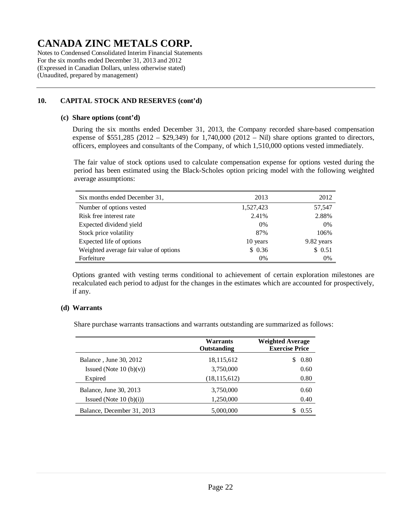Notes to Condensed Consolidated Interim Financial Statements For the six months ended December 31, 2013 and 2012 (Expressed in Canadian Dollars, unless otherwise stated) (Unaudited, prepared by management)

### **10. CAPITAL STOCK AND RESERVES (cont'd)**

#### **(c) Share options (cont'd)**

During the six months ended December 31, 2013, the Company recorded share-based compensation expense of \$551,285 (2012 – \$29,349) for 1,740,000 (2012 – Nil) share options granted to directors, officers, employees and consultants of the Company, of which 1,510,000 options vested immediately.

The fair value of stock options used to calculate compensation expense for options vested during the period has been estimated using the Black-Scholes option pricing model with the following weighted average assumptions:

| Six months ended December 31,          | 2013      | 2012       |
|----------------------------------------|-----------|------------|
| Number of options vested               | 1,527,423 | 57,547     |
| Risk free interest rate                | 2.41%     | 2.88%      |
| Expected dividend yield                | $0\%$     | $0\%$      |
| Stock price volatility                 | 87%       | 106%       |
| Expected life of options               | 10 years  | 9.82 years |
| Weighted average fair value of options | \$0.36    | \$0.51     |
| Forfeiture                             | 0%        | 0%         |

Options granted with vesting terms conditional to achievement of certain exploration milestones are recalculated each period to adjust for the changes in the estimates which are accounted for prospectively, if any.

#### **(d) Warrants**

Share purchase warrants transactions and warrants outstanding are summarized as follows:

|                            | Warrants<br><b>Outstanding</b> | <b>Weighted Average</b><br><b>Exercise Price</b> |
|----------------------------|--------------------------------|--------------------------------------------------|
| Balance, June 30, 2012     | 18,115,612                     | 0.80<br>S                                        |
| Issued (Note $10(b)(v)$ )  | 3,750,000                      | 0.60                                             |
| Expired                    | (18, 115, 612)                 | 0.80                                             |
| Balance, June 30, 2013     | 3,750,000                      | 0.60                                             |
| Issued (Note $10(b)(i)$ )  | 1,250,000                      | 0.40                                             |
| Balance, December 31, 2013 | 5,000,000                      | 0.55                                             |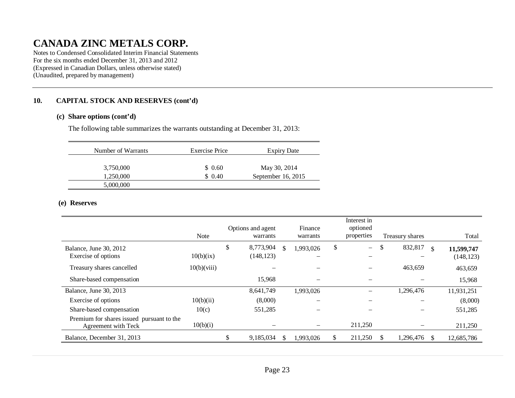Notes to Condensed Consolidated Interim Financial Statements For the six months ended December 31, 2013 and 2012 (Expressed in Canadian Dollars, unless otherwise stated) (Unaudited, prepared by management)

### **10. CAPITAL STOCK AND RESERVES (cont'd)**

#### **(c) Share options (cont'd)**

The following table summarizes the warrants outstanding at December 31, 2013:

| Number of Warrants | Exercise Price | <b>Expiry Date</b>   |
|--------------------|----------------|----------------------|
| 3,750,000          | \$0.60         | May 30, 2014         |
| 1,250,000          | \$0.40         | September $16, 2015$ |
| 5,000,000          |                |                      |

#### **(e) Reserves**

|                                                                  | <b>Note</b> | Options and agent<br>warrants |    | Finance<br>warrants | Interest in<br>optioned<br>properties | Treasury shares |     | Total                    |
|------------------------------------------------------------------|-------------|-------------------------------|----|---------------------|---------------------------------------|-----------------|-----|--------------------------|
| Balance, June 30, 2012<br>Exercise of options                    | 10(b)(ix)   | \$<br>8,773,904<br>(148, 123) | -S | 1,993,026<br>—      | \$<br>$\equiv$                        | \$<br>832,817   | \$. | 11,599,747<br>(148, 123) |
| Treasury shares cancelled                                        | 10(b)(viii) |                               |    |                     |                                       | 463,659         |     | 463,659                  |
| Share-based compensation                                         |             | 15,968                        |    |                     |                                       |                 |     | 15,968                   |
| Balance, June 30, 2013                                           |             | 8,641,749                     |    | 1,993,026           |                                       | 1,296,476       |     | 11,931,251               |
| Exercise of options                                              | 10(b)(ii)   | (8,000)                       |    |                     |                                       |                 |     | (8,000)                  |
| Share-based compensation                                         | 10(c)       | 551,285                       |    |                     |                                       |                 |     | 551,285                  |
| Premium for shares issued pursuant to the<br>Agreement with Teck | 10(b)(i)    |                               |    |                     | 211,250                               |                 |     | 211,250                  |
| Balance, December 31, 2013                                       |             | 9,185,034                     |    | 1,993,026           | 211,250                               | 1,296,476       |     | 12,685,786               |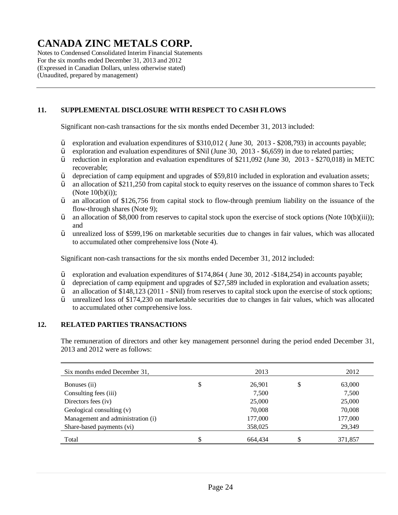Notes to Condensed Consolidated Interim Financial Statements For the six months ended December 31, 2013 and 2012 (Expressed in Canadian Dollars, unless otherwise stated) (Unaudited, prepared by management)

### **11. SUPPLEMENTAL DISCLOSURE WITH RESPECT TO CASH FLOWS**

Significant non-cash transactions for the six months ended December 31, 2013 included:

- $\ddot{Y}$  exploration and evaluation expenditures of \$310,012 (June 30, 2013 \$208,793) in accounts payable;<br> $\ddot{Y}$  exploration and evaluation expenditures of \$Nil (June 30, 2013 \$6.659) in due to related parties:
- $\ddot{Y}$  exploration and evaluation expenditures of \$Nil (June 30, 2013 \$6,659) in due to related parties;<br> $\ddot{Y}$  reduction in exploration and evaluation expenditures of \$211.092 (June 30, 2013 \$270.018) in
- reduction in exploration and evaluation expenditures of  $$211,092$  (June 30, 2013 \$270,018) in METC recoverable;
- $\ddot{Y}$  depreciation of camp equipment and upgrades of \$59,810 included in exploration and evaluation assets;
- $\ddot{Y}$  an allocation of \$211,250 from capital stock to equity reserves on the issuance of common shares to Teck (Note 10(b)(i));
- Ÿ an allocation of \$126,756 from capital stock to flow-through premium liability on the issuance of the flow-through shares (Note 9);
- $\ddot{Y}$  an allocation of \$8,000 from reserves to capital stock upon the exercise of stock options (Note 10(b)(iii)); and
- Ÿ unrealized loss of \$599,196 on marketable securities due to changes in fair values, which was allocated to accumulated other comprehensive loss (Note 4).

Significant non-cash transactions for the six months ended December 31, 2012 included:

- Ÿ exploration and evaluation expenditures of \$174,864 ( June 30, 2012 -\$184,254) in accounts payable;
- Ÿ depreciation of camp equipment and upgrades of \$27,589 included in exploration and evaluation assets;
- $\ddot{Y}$  an allocation of \$148,123 (2011 \$Nil) from reserves to capital stock upon the exercise of stock options;
- Ÿ unrealized loss of \$174,230 on marketable securities due to changes in fair values, which was allocated to accumulated other comprehensive loss.

#### **12. RELATED PARTIES TRANSACTIONS**

The remuneration of directors and other key management personnel during the period ended December 31, 2013 and 2012 were as follows:

| Six months ended December 31,     |    | 2013    | 2012         |
|-----------------------------------|----|---------|--------------|
| Bonuses (ii)                      | \$ | 26,901  | \$<br>63,000 |
| Consulting fees (iii)             |    | 7,500   | 7,500        |
| Directors fees (iv)               |    | 25,000  | 25,000       |
| Geological consulting $(v)$       |    | 70,008  | 70,008       |
| Management and administration (i) |    | 177,000 | 177,000      |
| Share-based payments (vi)         |    | 358,025 | 29,349       |
| Total                             | ъ  | 664.434 | 371.857      |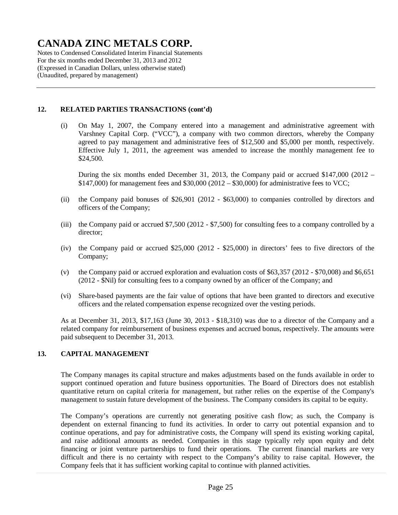Notes to Condensed Consolidated Interim Financial Statements For the six months ended December 31, 2013 and 2012 (Expressed in Canadian Dollars, unless otherwise stated) (Unaudited, prepared by management)

### **12. RELATED PARTIES TRANSACTIONS (cont'd)**

(i) On May 1, 2007, the Company entered into a management and administrative agreement with Varshney Capital Corp. ("VCC"), a company with two common directors, whereby the Company agreed to pay management and administrative fees of \$12,500 and \$5,000 per month, respectively. Effective July 1, 2011, the agreement was amended to increase the monthly management fee to \$24,500.

During the six months ended December 31, 2013, the Company paid or accrued \$147,000 (2012 –  $$147,000$ ) for management fees and  $$30,000 (2012 - $30,000)$  for administrative fees to VCC;

- (ii) the Company paid bonuses of \$26,901 (2012 \$63,000) to companies controlled by directors and officers of the Company;
- (iii) the Company paid or accrued \$7,500 (2012 \$7,500) for consulting fees to a company controlled by a director;
- (iv) the Company paid or accrued \$25,000 (2012 \$25,000) in directors' fees to five directors of the Company;
- (v) the Company paid or accrued exploration and evaluation costs of \$63,357 (2012 \$70,008) and \$6,651 (2012 - \$Nil) for consulting fees to a company owned by an officer of the Company; and
- (vi) Share-based payments are the fair value of options that have been granted to directors and executive officers and the related compensation expense recognized over the vesting periods.

As at December 31, 2013, \$17,163 (June 30, 2013 - \$18,310) was due to a director of the Company and a related company for reimbursement of business expenses and accrued bonus, respectively. The amounts were paid subsequent to December 31, 2013.

#### **13. CAPITAL MANAGEMENT**

The Company manages its capital structure and makes adjustments based on the funds available in order to support continued operation and future business opportunities. The Board of Directors does not establish quantitative return on capital criteria for management, but rather relies on the expertise of the Company's management to sustain future development of the business. The Company considers its capital to be equity.

The Company's operations are currently not generating positive cash flow; as such, the Company is dependent on external financing to fund its activities. In order to carry out potential expansion and to continue operations, and pay for administrative costs, the Company will spend its existing working capital, and raise additional amounts as needed. Companies in this stage typically rely upon equity and debt financing or joint venture partnerships to fund their operations. The current financial markets are very difficult and there is no certainty with respect to the Company's ability to raise capital. However, the Company feels that it has sufficient working capital to continue with planned activities.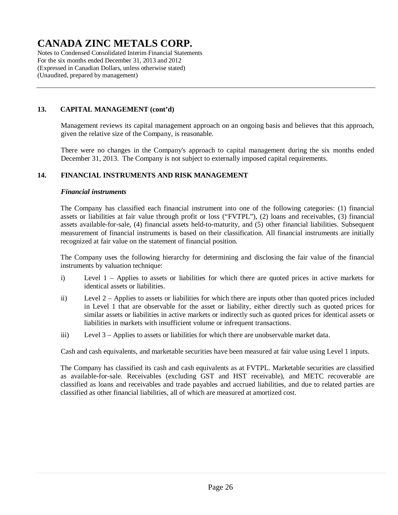Notes to Condensed Consolidated Interim Financial Statements For the six months ended December 31, 2013 and 2012 (Expressed in Canadian Dollars, unless otherwise stated) (Unaudited, prepared by management)

### **13. CAPITAL MANAGEMENT (cont'd)**

Management reviews its capital management approach on an ongoing basis and believes that this approach, given the relative size of the Company, is reasonable.

There were no changes in the Company's approach to capital management during the six months ended December 31, 2013. The Company is not subject to externally imposed capital requirements.

### **14. FINANCIAL INSTRUMENTS AND RISK MANAGEMENT**

#### *Financial instruments*

The Company has classified each financial instrument into one of the following categories: (1) financial assets or liabilities at fair value through profit or loss ("FVTPL"), (2) loans and receivables, (3) financial assets available-for-sale, (4) financial assets held-to-maturity, and (5) other financial liabilities. Subsequent measurement of financial instruments is based on their classification. All financial instruments are initially recognized at fair value on the statement of financial position.

The Company uses the following hierarchy for determining and disclosing the fair value of the financial instruments by valuation technique:

- i) Level 1 Applies to assets or liabilities for which there are quoted prices in active markets for identical assets or liabilities.
- ii) Level 2 Applies to assets or liabilities for which there are inputs other than quoted prices included in Level 1 that are observable for the asset or liability, either directly such as quoted prices for similar assets or liabilities in active markets or indirectly such as quoted prices for identical assets or liabilities in markets with insufficient volume or infrequent transactions.
- iii) Level 3 Applies to assets or liabilities for which there are unobservable market data.

Cash and cash equivalents, and marketable securities have been measured at fair value using Level 1 inputs.

The Company has classified its cash and cash equivalents as at FVTPL. Marketable securities are classified as available-for-sale. Receivables (excluding GST and HST receivable), and METC recoverable are classified as loans and receivables and trade payables and accrued liabilities, and due to related parties are classified as other financial liabilities, all of which are measured at amortized cost.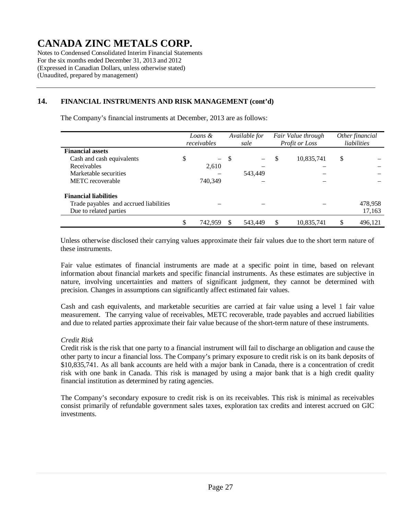Notes to Condensed Consolidated Interim Financial Statements For the six months ended December 31, 2013 and 2012 (Expressed in Canadian Dollars, unless otherwise stated) (Unaudited, prepared by management)

### **14. FINANCIAL INSTRUMENTS AND RISK MANAGEMENT (cont'd)**

The Company's financial instruments at December, 2013 are as follows:

|                                        | Loans &<br>receivables |         | Available for<br>sale |         |    | Fair Value through<br>Profit or Loss | Other financial<br>liabilities |         |  |
|----------------------------------------|------------------------|---------|-----------------------|---------|----|--------------------------------------|--------------------------------|---------|--|
| <b>Financial assets</b>                |                        |         |                       |         |    |                                      |                                |         |  |
| Cash and cash equivalents              | \$                     | $ \,$   | -S                    |         | S  | 10,835,741                           | \$                             |         |  |
| Receivables                            |                        | 2,610   |                       |         |    |                                      |                                |         |  |
| Marketable securities                  |                        |         |                       | 543,449 |    |                                      |                                |         |  |
| METC recoverable                       |                        | 740,349 |                       |         |    |                                      |                                |         |  |
| <b>Financial liabilities</b>           |                        |         |                       |         |    |                                      |                                |         |  |
| Trade payables and accrued liabilities |                        |         |                       |         |    |                                      |                                | 478,958 |  |
| Due to related parties                 |                        |         |                       |         |    |                                      |                                | 17,163  |  |
|                                        | \$                     | 742,959 |                       | 543,449 | \$ | 10,835,741                           |                                | 496,121 |  |

Unless otherwise disclosed their carrying values approximate their fair values due to the short term nature of these instruments.

Fair value estimates of financial instruments are made at a specific point in time, based on relevant information about financial markets and specific financial instruments. As these estimates are subjective in nature, involving uncertainties and matters of significant judgment, they cannot be determined with precision. Changes in assumptions can significantly affect estimated fair values.

Cash and cash equivalents, and marketable securities are carried at fair value using a level 1 fair value measurement. The carrying value of receivables, METC recoverable, trade payables and accrued liabilities and due to related parties approximate their fair value because of the short-term nature of these instruments.

#### *Credit Risk*

Credit risk is the risk that one party to a financial instrument will fail to discharge an obligation and cause the other party to incur a financial loss. The Company's primary exposure to credit risk is on its bank deposits of \$10,835,741. As all bank accounts are held with a major bank in Canada, there is a concentration of credit risk with one bank in Canada. This risk is managed by using a major bank that is a high credit quality financial institution as determined by rating agencies.

The Company's secondary exposure to credit risk is on its receivables. This risk is minimal as receivables consist primarily of refundable government sales taxes, exploration tax credits and interest accrued on GIC investments.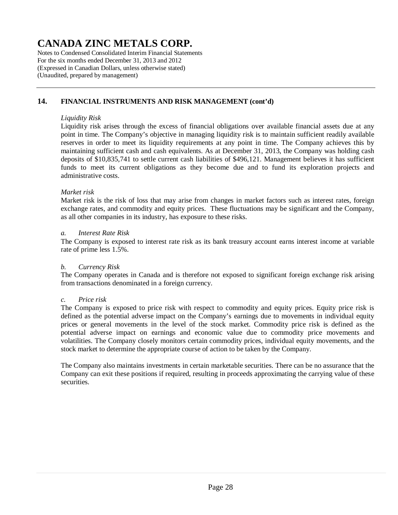Notes to Condensed Consolidated Interim Financial Statements For the six months ended December 31, 2013 and 2012 (Expressed in Canadian Dollars, unless otherwise stated) (Unaudited, prepared by management)

### **14. FINANCIAL INSTRUMENTS AND RISK MANAGEMENT (cont'd)**

#### *Liquidity Risk*

Liquidity risk arises through the excess of financial obligations over available financial assets due at any point in time. The Company's objective in managing liquidity risk is to maintain sufficient readily available reserves in order to meet its liquidity requirements at any point in time. The Company achieves this by maintaining sufficient cash and cash equivalents. As at December 31, 2013, the Company was holding cash deposits of \$10,835,741 to settle current cash liabilities of \$496,121. Management believes it has sufficient funds to meet its current obligations as they become due and to fund its exploration projects and administrative costs.

#### *Market risk*

Market risk is the risk of loss that may arise from changes in market factors such as interest rates, foreign exchange rates, and commodity and equity prices. These fluctuations may be significant and the Company, as all other companies in its industry, has exposure to these risks.

#### *a. Interest Rate Risk*

The Company is exposed to interest rate risk as its bank treasury account earns interest income at variable rate of prime less 1.5%.

#### *b. Currency Risk*

The Company operates in Canada and is therefore not exposed to significant foreign exchange risk arising from transactions denominated in a foreign currency.

#### *c. Price risk*

The Company is exposed to price risk with respect to commodity and equity prices. Equity price risk is defined as the potential adverse impact on the Company's earnings due to movements in individual equity prices or general movements in the level of the stock market. Commodity price risk is defined as the potential adverse impact on earnings and economic value due to commodity price movements and volatilities. The Company closely monitors certain commodity prices, individual equity movements, and the stock market to determine the appropriate course of action to be taken by the Company.

The Company also maintains investments in certain marketable securities. There can be no assurance that the Company can exit these positions if required, resulting in proceeds approximating the carrying value of these securities.